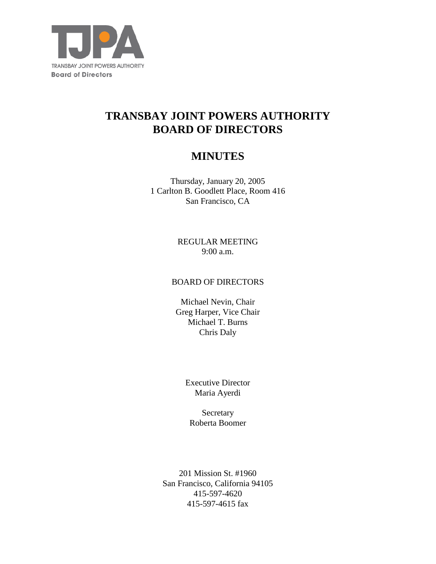

# **TRANSBAY JOINT POWERS AUTHORITY BOARD OF DIRECTORS**

# **MINUTES**

Thursday, January 20, 2005 1 Carlton B. Goodlett Place, Room 416 San Francisco, CA

> REGULAR MEETING 9:00 a.m.

## BOARD OF DIRECTORS

Michael Nevin, Chair Greg Harper, Vice Chair Michael T. Burns Chris Daly

> Executive Director Maria Ayerdi

Secretary Roberta Boomer

201 Mission St. #1960 San Francisco, California 94105 415-597-4620 415-597-4615 fax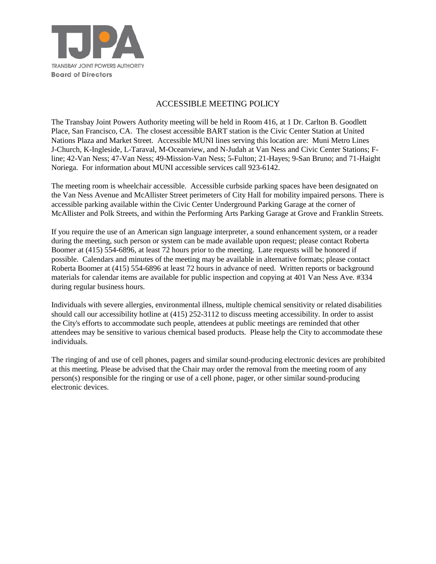

#### ACCESSIBLE MEETING POLICY

The Transbay Joint Powers Authority meeting will be held in Room 416, at 1 Dr. Carlton B. Goodlett Place, San Francisco, CA. The closest accessible BART station is the Civic Center Station at United Nations Plaza and Market Street. Accessible MUNI lines serving this location are: Muni Metro Lines J-Church, K-Ingleside, L-Taraval, M-Oceanview, and N-Judah at Van Ness and Civic Center Stations; Fline; 42-Van Ness; 47-Van Ness; 49-Mission-Van Ness; 5-Fulton; 21-Hayes; 9-San Bruno; and 71-Haight Noriega. For information about MUNI accessible services call 923-6142.

The meeting room is wheelchair accessible. Accessible curbside parking spaces have been designated on the Van Ness Avenue and McAllister Street perimeters of City Hall for mobility impaired persons. There is accessible parking available within the Civic Center Underground Parking Garage at the corner of McAllister and Polk Streets, and within the Performing Arts Parking Garage at Grove and Franklin Streets.

If you require the use of an American sign language interpreter, a sound enhancement system, or a reader during the meeting, such person or system can be made available upon request; please contact Roberta Boomer at (415) 554-6896, at least 72 hours prior to the meeting. Late requests will be honored if possible. Calendars and minutes of the meeting may be available in alternative formats; please contact Roberta Boomer at (415) 554-6896 at least 72 hours in advance of need. Written reports or background materials for calendar items are available for public inspection and copying at 401 Van Ness Ave. #334 during regular business hours.

Individuals with severe allergies, environmental illness, multiple chemical sensitivity or related disabilities should call our accessibility hotline at (415) 252-3112 to discuss meeting accessibility. In order to assist the City's efforts to accommodate such people, attendees at public meetings are reminded that other attendees may be sensitive to various chemical based products. Please help the City to accommodate these individuals.

The ringing of and use of cell phones, pagers and similar sound-producing electronic devices are prohibited at this meeting. Please be advised that the Chair may order the removal from the meeting room of any person(s) responsible for the ringing or use of a cell phone, pager, or other similar sound-producing electronic devices.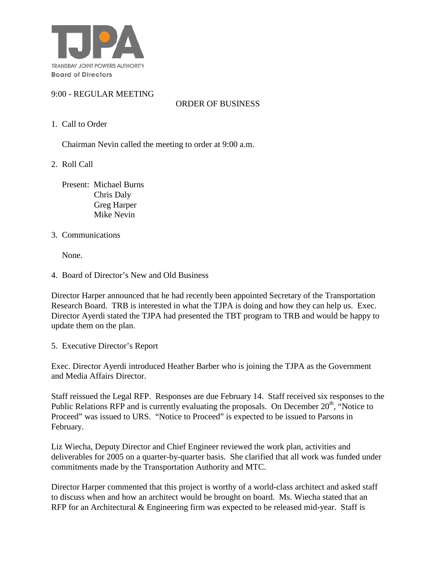

#### 9:00 - REGULAR MEETING

### ORDER OF BUSINESS

1. Call to Order

Chairman Nevin called the meeting to order at 9:00 a.m.

2. Roll Call

 Present: Michael Burns Chris Daly Greg Harper Mike Nevin

3. Communications

None.

4. Board of Director's New and Old Business

Director Harper announced that he had recently been appointed Secretary of the Transportation Research Board. TRB is interested in what the TJPA is doing and how they can help us. Exec. Director Ayerdi stated the TJPA had presented the TBT program to TRB and would be happy to update them on the plan.

5. Executive Director's Report

Exec. Director Ayerdi introduced Heather Barber who is joining the TJPA as the Government and Media Affairs Director.

Staff reissued the Legal RFP. Responses are due February 14. Staff received six responses to the Public Relations RFP and is currently evaluating the proposals. On December  $20<sup>th</sup>$ , "Notice to Proceed" was issued to URS. "Notice to Proceed" is expected to be issued to Parsons in February.

Liz Wiecha, Deputy Director and Chief Engineer reviewed the work plan, activities and deliverables for 2005 on a quarter-by-quarter basis. She clarified that all work was funded under commitments made by the Transportation Authority and MTC.

Director Harper commented that this project is worthy of a world-class architect and asked staff to discuss when and how an architect would be brought on board. Ms. Wiecha stated that an RFP for an Architectural & Engineering firm was expected to be released mid-year. Staff is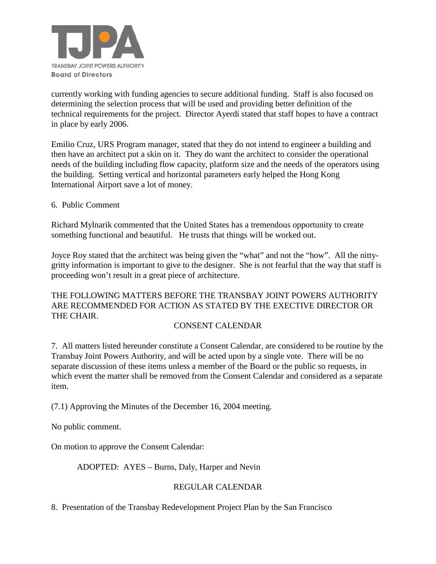

currently working with funding agencies to secure additional funding. Staff is also focused on determining the selection process that will be used and providing better definition of the technical requirements for the project. Director Ayerdi stated that staff hopes to have a contract in place by early 2006.

Emilio Cruz, URS Program manager, stated that they do not intend to engineer a building and then have an architect put a skin on it. They do want the architect to consider the operational needs of the building including flow capacity, platform size and the needs of the operators using the building. Setting vertical and horizontal parameters early helped the Hong Kong International Airport save a lot of money.

6. Public Comment

Richard Mylnarik commented that the United States has a tremendous opportunity to create something functional and beautiful. He trusts that things will be worked out.

Joyce Roy stated that the architect was being given the "what" and not the "how". All the nittygritty information is important to give to the designer. She is not fearful that the way that staff is proceeding won't result in a great piece of architecture.

THE FOLLOWING MATTERS BEFORE THE TRANSBAY JOINT POWERS AUTHORITY ARE RECOMMENDED FOR ACTION AS STATED BY THE EXECTIVE DIRECTOR OR THE CHAIR.

#### CONSENT CALENDAR

7. All matters listed hereunder constitute a Consent Calendar, are considered to be routine by the Transbay Joint Powers Authority, and will be acted upon by a single vote. There will be no separate discussion of these items unless a member of the Board or the public so requests, in which event the matter shall be removed from the Consent Calendar and considered as a separate item.

(7.1) Approving the Minutes of the December 16, 2004 meeting.

No public comment.

On motion to approve the Consent Calendar:

ADOPTED: AYES – Burns, Daly, Harper and Nevin

#### REGULAR CALENDAR

8. Presentation of the Transbay Redevelopment Project Plan by the San Francisco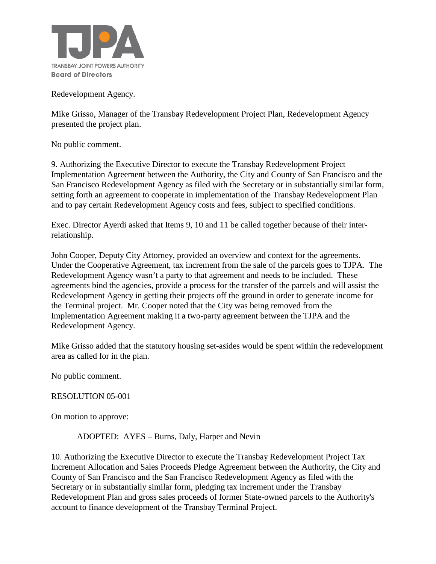

Redevelopment Agency.

Mike Grisso, Manager of the Transbay Redevelopment Project Plan, Redevelopment Agency presented the project plan.

No public comment.

9. Authorizing the Executive Director to execute the Transbay Redevelopment Project Implementation Agreement between the Authority, the City and County of San Francisco and the San Francisco Redevelopment Agency as filed with the Secretary or in substantially similar form, setting forth an agreement to cooperate in implementation of the Transbay Redevelopment Plan and to pay certain Redevelopment Agency costs and fees, subject to specified conditions.

Exec. Director Ayerdi asked that Items 9, 10 and 11 be called together because of their interrelationship.

John Cooper, Deputy City Attorney, provided an overview and context for the agreements. Under the Cooperative Agreement, tax increment from the sale of the parcels goes to TJPA. The Redevelopment Agency wasn't a party to that agreement and needs to be included. These agreements bind the agencies, provide a process for the transfer of the parcels and will assist the Redevelopment Agency in getting their projects off the ground in order to generate income for the Terminal project. Mr. Cooper noted that the City was being removed from the Implementation Agreement making it a two-party agreement between the TJPA and the Redevelopment Agency.

Mike Grisso added that the statutory housing set-asides would be spent within the redevelopment area as called for in the plan.

No public comment.

RESOLUTION 05-001

On motion to approve:

ADOPTED: AYES – Burns, Daly, Harper and Nevin

10. Authorizing the Executive Director to execute the Transbay Redevelopment Project Tax Increment Allocation and Sales Proceeds Pledge Agreement between the Authority, the City and County of San Francisco and the San Francisco Redevelopment Agency as filed with the Secretary or in substantially similar form, pledging tax increment under the Transbay Redevelopment Plan and gross sales proceeds of former State-owned parcels to the Authority's account to finance development of the Transbay Terminal Project.